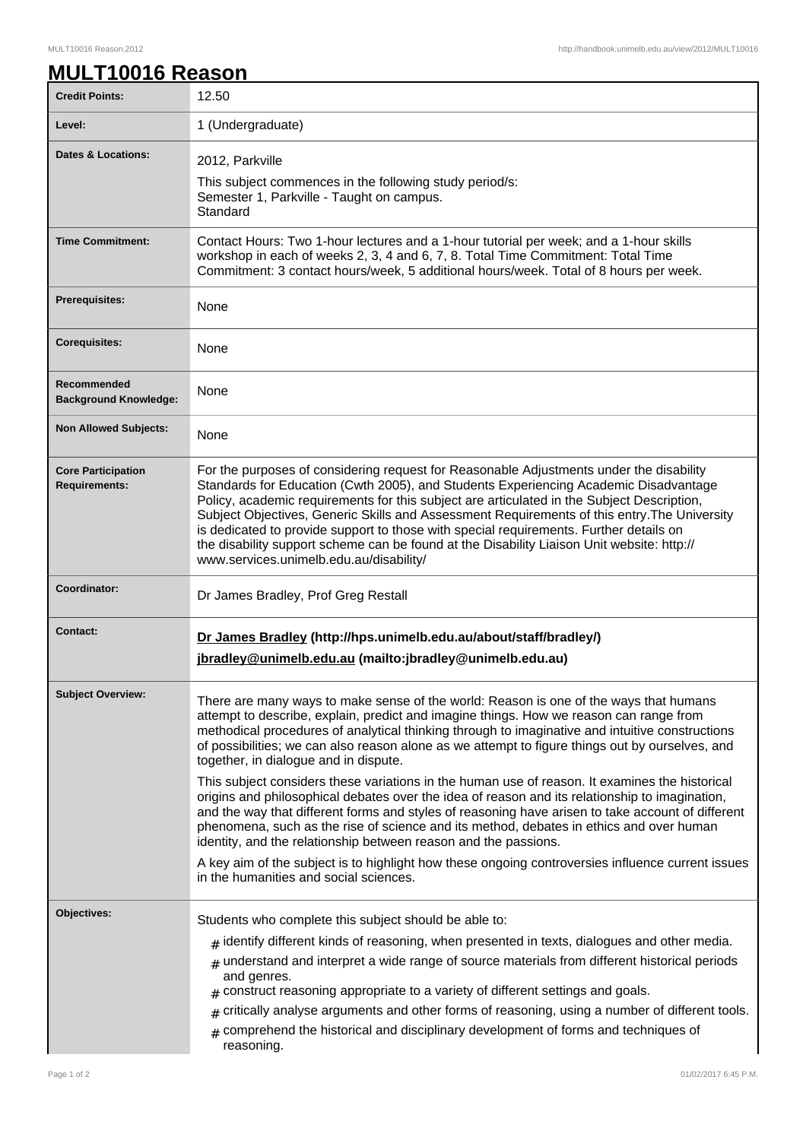## **MULT10016 Reason**

| <b>Credit Points:</b>                             | 12.50                                                                                                                                                                                                                                                                                                                                                                                                                                                                                                                                                                                                            |
|---------------------------------------------------|------------------------------------------------------------------------------------------------------------------------------------------------------------------------------------------------------------------------------------------------------------------------------------------------------------------------------------------------------------------------------------------------------------------------------------------------------------------------------------------------------------------------------------------------------------------------------------------------------------------|
| Level:                                            | 1 (Undergraduate)                                                                                                                                                                                                                                                                                                                                                                                                                                                                                                                                                                                                |
| <b>Dates &amp; Locations:</b>                     | 2012, Parkville<br>This subject commences in the following study period/s:<br>Semester 1, Parkville - Taught on campus.<br>Standard                                                                                                                                                                                                                                                                                                                                                                                                                                                                              |
| <b>Time Commitment:</b>                           | Contact Hours: Two 1-hour lectures and a 1-hour tutorial per week; and a 1-hour skills<br>workshop in each of weeks 2, 3, 4 and 6, 7, 8. Total Time Commitment: Total Time<br>Commitment: 3 contact hours/week, 5 additional hours/week. Total of 8 hours per week.                                                                                                                                                                                                                                                                                                                                              |
| <b>Prerequisites:</b>                             | None                                                                                                                                                                                                                                                                                                                                                                                                                                                                                                                                                                                                             |
| <b>Corequisites:</b>                              | None                                                                                                                                                                                                                                                                                                                                                                                                                                                                                                                                                                                                             |
| Recommended<br><b>Background Knowledge:</b>       | None                                                                                                                                                                                                                                                                                                                                                                                                                                                                                                                                                                                                             |
| <b>Non Allowed Subjects:</b>                      | None                                                                                                                                                                                                                                                                                                                                                                                                                                                                                                                                                                                                             |
| <b>Core Participation</b><br><b>Requirements:</b> | For the purposes of considering request for Reasonable Adjustments under the disability<br>Standards for Education (Cwth 2005), and Students Experiencing Academic Disadvantage<br>Policy, academic requirements for this subject are articulated in the Subject Description,<br>Subject Objectives, Generic Skills and Assessment Requirements of this entry. The University<br>is dedicated to provide support to those with special requirements. Further details on<br>the disability support scheme can be found at the Disability Liaison Unit website: http://<br>www.services.unimelb.edu.au/disability/ |
| Coordinator:                                      | Dr James Bradley, Prof Greg Restall                                                                                                                                                                                                                                                                                                                                                                                                                                                                                                                                                                              |
| <b>Contact:</b>                                   | Dr James Bradley (http://hps.unimelb.edu.au/about/staff/bradley/)<br>jbradley@unimelb.edu.au (mailto: jbradley@unimelb.edu.au)                                                                                                                                                                                                                                                                                                                                                                                                                                                                                   |
| <b>Subject Overview:</b>                          | There are many ways to make sense of the world: Reason is one of the ways that humans<br>attempt to describe, explain, predict and imagine things. How we reason can range from<br>methodical procedures of analytical thinking through to imaginative and intuitive constructions<br>of possibilities; we can also reason alone as we attempt to figure things out by ourselves, and<br>together, in dialogue and in dispute.                                                                                                                                                                                   |
|                                                   | This subject considers these variations in the human use of reason. It examines the historical<br>origins and philosophical debates over the idea of reason and its relationship to imagination,<br>and the way that different forms and styles of reasoning have arisen to take account of different<br>phenomena, such as the rise of science and its method, debates in ethics and over human<br>identity, and the relationship between reason and the passions.                                                                                                                                              |
|                                                   | A key aim of the subject is to highlight how these ongoing controversies influence current issues<br>in the humanities and social sciences.                                                                                                                                                                                                                                                                                                                                                                                                                                                                      |
| Objectives:                                       | Students who complete this subject should be able to:<br>$_{\#}$ identify different kinds of reasoning, when presented in texts, dialogues and other media.<br>$_{\text{\#}}$ understand and interpret a wide range of source materials from different historical periods<br>and genres.<br>construct reasoning appropriate to a variety of different settings and goals.<br>critically analyse arguments and other forms of reasoning, using a number of different tools.<br>$\pm$<br>comprehend the historical and disciplinary development of forms and techniques of<br>$\pm$<br>reasoning.                  |